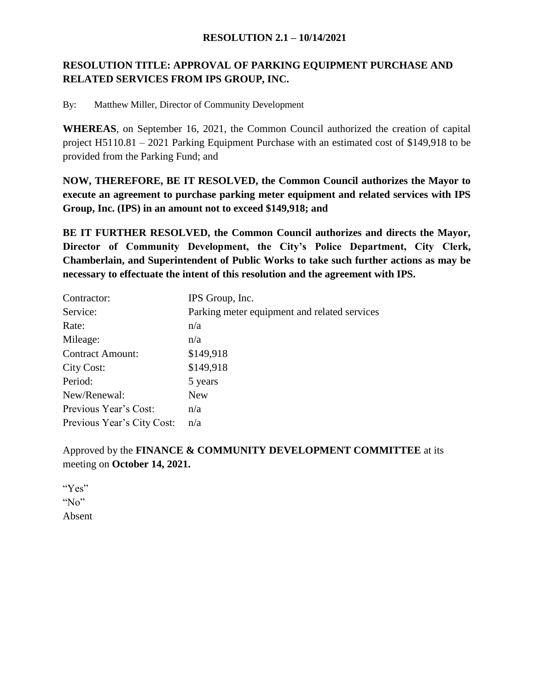#### **RESOLUTION 2.1 – 10/14/2021**

# **RESOLUTION TITLE: APPROVAL OF PARKING EQUIPMENT PURCHASE AND RELATED SERVICES FROM IPS GROUP, INC.**

By: Matthew Miller, Director of Community Development

**WHEREAS**, on September 16, 2021, the Common Council authorized the creation of capital project H5110.81 – 2021 Parking Equipment Purchase with an estimated cost of \$149,918 to be provided from the Parking Fund; and

**NOW, THEREFORE, BE IT RESOLVED, the Common Council authorizes the Mayor to execute an agreement to purchase parking meter equipment and related services with IPS Group, Inc. (IPS) in an amount not to exceed \$149,918; and**

**BE IT FURTHER RESOLVED, the Common Council authorizes and directs the Mayor, Director of Community Development, the City's Police Department, City Clerk, Chamberlain, and Superintendent of Public Works to take such further actions as may be necessary to effectuate the intent of this resolution and the agreement with IPS.**

| Contractor:                | IPS Group, Inc.                              |
|----------------------------|----------------------------------------------|
| Service:                   | Parking meter equipment and related services |
| Rate:                      | n/a                                          |
| Mileage:                   | n/a                                          |
| <b>Contract Amount:</b>    | \$149,918                                    |
| City Cost:                 | \$149,918                                    |
| Period:                    | 5 years                                      |
| New/Renewal:               | <b>New</b>                                   |
| Previous Year's Cost:      | n/a                                          |
| Previous Year's City Cost: | n/a                                          |

Approved by the **FINANCE & COMMUNITY DEVELOPMENT COMMITTEE** at its meeting on **October 14, 2021.**

"Yes" " $No$ " Absent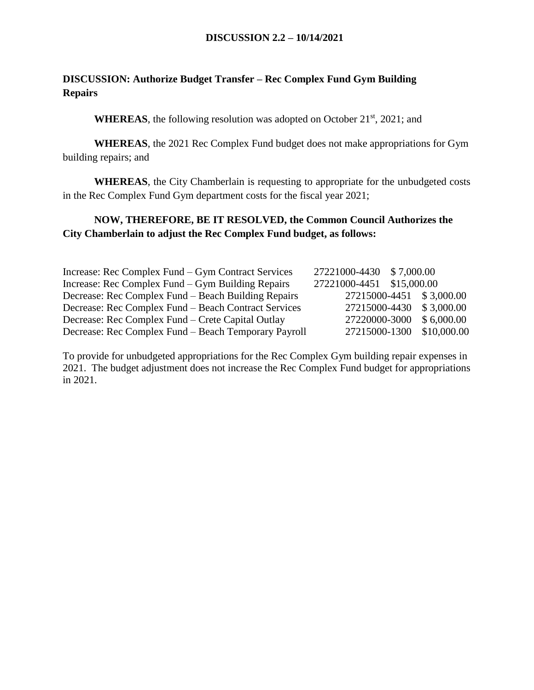# **DISCUSSION: Authorize Budget Transfer – Rec Complex Fund Gym Building Repairs**

**WHEREAS**, the following resolution was adopted on October 21<sup>st</sup>, 2021; and

**WHEREAS**, the 2021 Rec Complex Fund budget does not make appropriations for Gym building repairs; and

**WHEREAS**, the City Chamberlain is requesting to appropriate for the unbudgeted costs in the Rec Complex Fund Gym department costs for the fiscal year 2021;

#### **NOW, THEREFORE, BE IT RESOLVED, the Common Council Authorizes the City Chamberlain to adjust the Rec Complex Fund budget, as follows:**

| Increase: Rec Complex Fund – Gym Contract Services   | 27221000-4430 \$7,000.00  |                           |
|------------------------------------------------------|---------------------------|---------------------------|
| Increase: Rec Complex Fund – Gym Building Repairs    | 27221000-4451 \$15,000.00 |                           |
| Decrease: Rec Complex Fund – Beach Building Repairs  |                           | 27215000-4451 \$3,000.00  |
| Decrease: Rec Complex Fund – Beach Contract Services |                           | 27215000-4430 \$3,000.00  |
| Decrease: Rec Complex Fund – Crete Capital Outlay    |                           | 27220000-3000 \$6,000.00  |
| Decrease: Rec Complex Fund – Beach Temporary Payroll |                           | 27215000-1300 \$10,000.00 |

To provide for unbudgeted appropriations for the Rec Complex Gym building repair expenses in 2021. The budget adjustment does not increase the Rec Complex Fund budget for appropriations in 2021.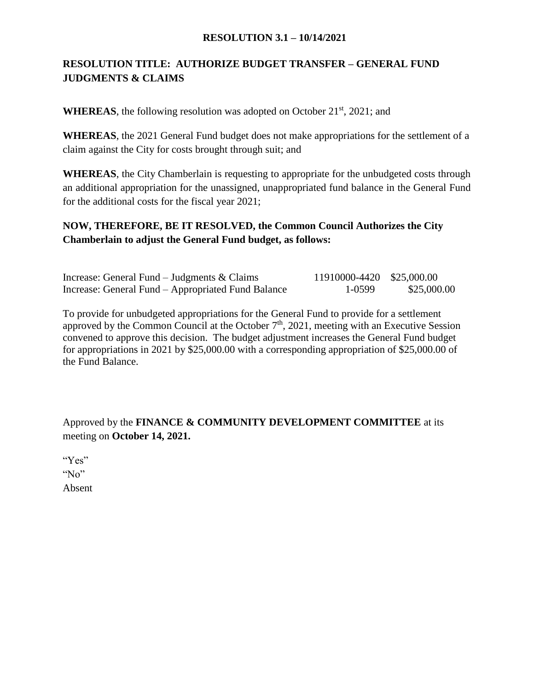#### **RESOLUTION 3.1 – 10/14/2021**

# **RESOLUTION TITLE: AUTHORIZE BUDGET TRANSFER – GENERAL FUND JUDGMENTS & CLAIMS**

**WHEREAS**, the following resolution was adopted on October  $21<sup>st</sup>$ , 2021; and

**WHEREAS**, the 2021 General Fund budget does not make appropriations for the settlement of a claim against the City for costs brought through suit; and

**WHEREAS**, the City Chamberlain is requesting to appropriate for the unbudgeted costs through an additional appropriation for the unassigned, unappropriated fund balance in the General Fund for the additional costs for the fiscal year 2021;

### **NOW, THEREFORE, BE IT RESOLVED, the Common Council Authorizes the City Chamberlain to adjust the General Fund budget, as follows:**

| Increase: General Fund – Judgments $& \text{Clains}$ | 11910000-4420 \$25,000.00 |             |
|------------------------------------------------------|---------------------------|-------------|
| Increase: General Fund – Appropriated Fund Balance   | 1-0599                    | \$25,000.00 |

To provide for unbudgeted appropriations for the General Fund to provide for a settlement approved by the Common Council at the October  $7<sup>th</sup>$ , 2021, meeting with an Executive Session convened to approve this decision. The budget adjustment increases the General Fund budget for appropriations in 2021 by \$25,000.00 with a corresponding appropriation of \$25,000.00 of the Fund Balance.

Approved by the **FINANCE & COMMUNITY DEVELOPMENT COMMITTEE** at its meeting on **October 14, 2021.**

"Yes" "No" Absent